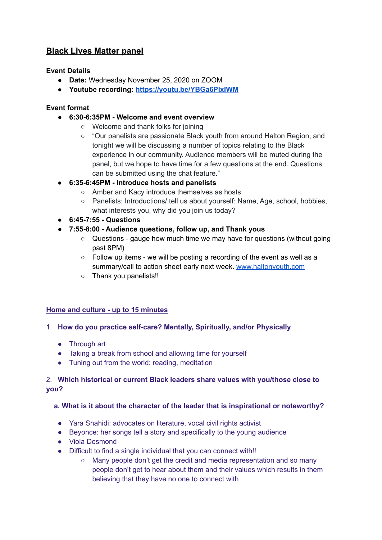# **Black Lives Matter panel**

#### **Event Details**

- **Date:** Wednesday November 25, 2020 on ZOOM
- **Youtube recording: <https://youtu.be/YBGa6PIxIWM>**

# **Event format**

- **● 6:30-6:35PM - Welcome and event overview**
	- Welcome and thank folks for joining
	- "Our panelists are passionate Black youth from around Halton Region, and tonight we will be discussing a number of topics relating to the Black experience in our community. Audience members will be muted during the panel, but we hope to have time for a few questions at the end. Questions can be submitted using the chat feature."
- **● 6:35-6:45PM - Introduce hosts and panelists**
	- Amber and Kacy introduce themselves as hosts
	- Panelists: Introductions/ tell us about yourself: Name, Age, school, hobbies, what interests you, why did you join us today?
- **● 6:45-7:55 - Questions**
- **● 7:55-8:00 - Audience questions, follow up, and Thank yous**
	- Questions gauge how much time we may have for questions (without going past 8PM)
	- Follow up items we will be posting a recording of the event as well as a summary/call to action sheet early next week. [www.haltonyouth.com](http://www.haltonyouth.com)
	- Thank you panelists!!

## **Home and culture - up to 15 minutes**

## 1. **How do you practice self-care? Mentally, Spiritually, and/or Physically**

- Through art
- Taking a break from school and allowing time for yourself
- Tuning out from the world: reading, meditation

## 2. **Which historical or current Black leaders share values with you/those close to you?**

#### **a. What is it about the character of the leader that is inspirational or noteworthy?**

- Yara Shahidi: advocates on literature, vocal civil rights activist
- Beyonce: her songs tell a story and specifically to the young audience
- Viola Desmond
- Difficult to find a single individual that you can connect with!!
	- Many people don't get the credit and media representation and so many people don't get to hear about them and their values which results in them believing that they have no one to connect with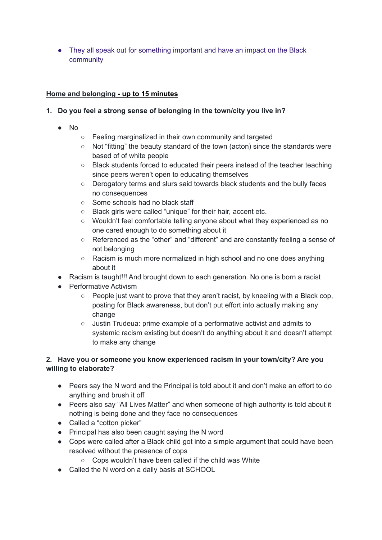• They all speak out for something important and have an impact on the Black community

# **Home and belonging - up to 15 minutes**

# **1. Do you feel a strong sense of belonging in the town/city you live in?**

- No
- Feeling marginalized in their own community and targeted
- Not "fitting" the beauty standard of the town (acton) since the standards were based of of white people
- **○** Black students forced to educated their peers instead of the teacher teaching since peers weren't open to educating themselves
- Derogatory terms and slurs said towards black students and the bully faces no consequences
- Some schools had no black staff
- Black girls were called "unique" for their hair, accent etc.
- Wouldn't feel comfortable telling anyone about what they experienced as no one cared enough to do something about it
- Referenced as the "other" and "different" and are constantly feeling a sense of not belonging
- Racism is much more normalized in high school and no one does anything about it
- Racism is taught!!! And brought down to each generation. No one is born a racist
- Performative Activism
	- People just want to prove that they aren't racist, by kneeling with a Black cop, posting for Black awareness, but don't put effort into actually making any change
	- Justin Trudeua: prime example of a performative activist and admits to systemic racism existing but doesn't do anything about it and doesn't attempt to make any change

# **2. Have you or someone you know experienced racism in your town/city? Are you willing to elaborate?**

- Peers say the N word and the Principal is told about it and don't make an effort to do anything and brush it off
- Peers also say "All Lives Matter" and when someone of high authority is told about it nothing is being done and they face no consequences
- Called a "cotton picker"
- Principal has also been caught saying the N word
- Cops were called after a Black child got into a simple argument that could have been resolved without the presence of cops
	- Cops wouldn't have been called if the child was White
- Called the N word on a daily basis at SCHOOL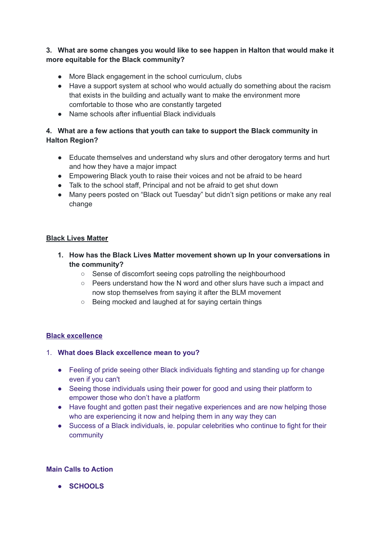## **3. What are some changes you would like to see happen in Halton that would make it more equitable for the Black community?**

- More Black engagement in the school curriculum, clubs
- Have a support system at school who would actually do something about the racism that exists in the building and actually want to make the environment more comfortable to those who are constantly targeted
- Name schools after influential Black individuals

# **4. What are a few actions that youth can take to support the Black community in Halton Region?**

- Educate themselves and understand why slurs and other derogatory terms and hurt and how they have a major impact
- Empowering Black youth to raise their voices and not be afraid to be heard
- Talk to the school staff, Principal and not be afraid to get shut down
- Many peers posted on "Black out Tuesday" but didn't sign petitions or make any real change

## **Black Lives Matter**

- **1. How has the Black Lives Matter movement shown up In your conversations in the community?**
	- Sense of discomfort seeing cops patrolling the neighbourhood
	- Peers understand how the N word and other slurs have such a impact and now stop themselves from saying it after the BLM movement
	- Being mocked and laughed at for saying certain things

## **Black excellence**

## 1. **What does Black excellence mean to you?**

- Feeling of pride seeing other Black individuals fighting and standing up for change even if you can't
- Seeing those individuals using their power for good and using their platform to empower those who don't have a platform
- Have fought and gotten past their negative experiences and are now helping those who are experiencing it now and helping them in any way they can
- Success of a Black individuals, ie. popular celebrities who continue to fight for their community

#### **Main Calls to Action**

**● SCHOOLS**